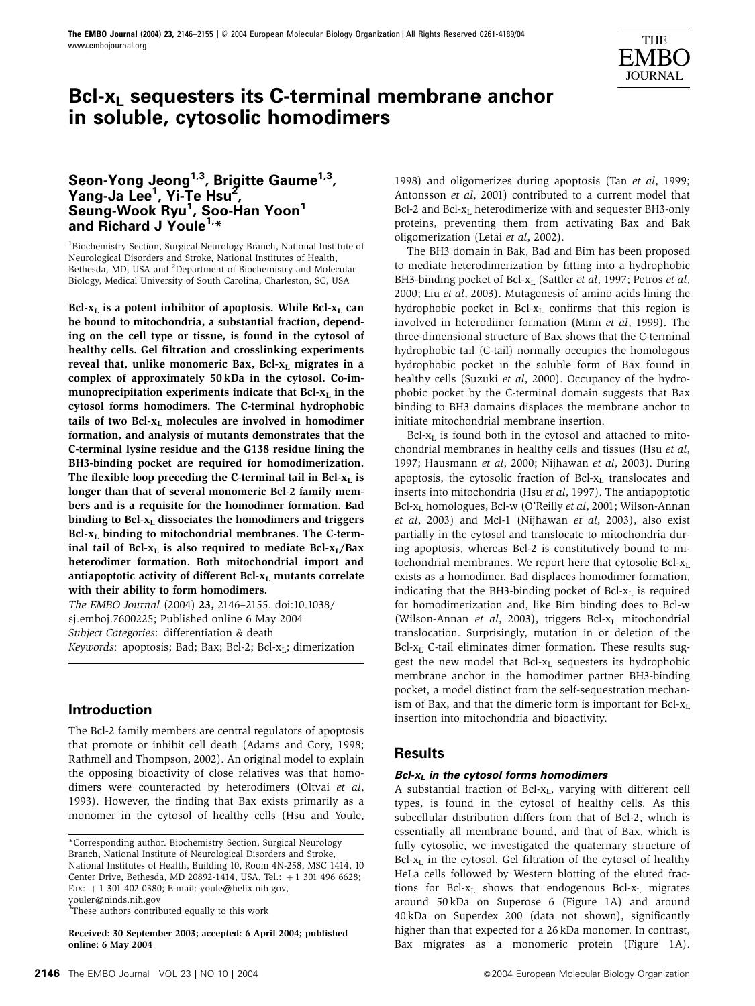

# **Bcl-xL sequesters its C-terminal membrane anchor in soluble, cytosolic homodimers**

# **Seon-Yong Jeong1,3, Brigitte Gaume1,3, Yang-Ja Lee1 , Yi-Te Hsu2 , Seung-Wook Ryu1 , Soo-Han Yoon<sup>1</sup> and Richard J Youle1,\***

<sup>1</sup>Biochemistry Section, Surgical Neurology Branch, National Institute of Neurological Disorders and Stroke, National Institutes of Health, Bethesda, MD, USA and <sup>2</sup>Department of Biochemistry and Molecular Biology, Medical University of South Carolina, Charleston, SC, USA

Bcl- $x_L$  is a potent inhibitor of apoptosis. While Bcl- $x_L$  can be bound to mitochondria, a substantial fraction, depending on the cell type or tissue, is found in the cytosol of healthy cells. Gel filtration and crosslinking experiments reveal that, unlike monomeric Bax, Bcl- $x_L$  migrates in a complex of approximately 50 kDa in the cytosol. Co-immunoprecipitation experiments indicate that  $Bcl-x<sub>L</sub>$  in the cytosol forms homodimers. The C-terminal hydrophobic tails of two Bcl- $x_L$  molecules are involved in homodimer formation, and analysis of mutants demonstrates that the C-terminal lysine residue and the G138 residue lining the BH3-binding pocket are required for homodimerization. The flexible loop preceding the C-terminal tail in Bcl- $x<sub>L</sub>$  is longer than that of several monomeric Bcl-2 family members and is a requisite for the homodimer formation. Bad binding to  $Bcl-x<sub>L</sub>$  dissociates the homodimers and triggers  $Bcl-x<sub>L</sub>$  binding to mitochondrial membranes. The C-terminal tail of Bcl- $x_L$  is also required to mediate Bcl- $x_L/Bax$ heterodimer formation. Both mitochondrial import and antiapoptotic activity of different Bcl- $x_L$  mutants correlate with their ability to form homodimers.

The EMBO Journal (2004) 23, 2146–2155. doi:10.1038/ sj.emboj.7600225; Published online 6 May 2004 Subject Categories: differentiation & death Keywords: apoptosis; Bad; Bax; Bcl-2; Bcl- $x_L$ ; dimerization

# **Introduction**

The Bcl-2 family members are central regulators of apoptosis that promote or inhibit cell death (Adams and Cory, 1998; Rathmell and Thompson, 2002). An original model to explain the opposing bioactivity of close relatives was that homodimers were counteracted by heterodimers (Oltvai et al, 1993). However, the finding that Bax exists primarily as a monomer in the cytosol of healthy cells (Hsu and Youle,

<sup>3</sup>These authors contributed equally to this work

Received: 30 September 2003; accepted: 6 April 2004; published online: 6 May 2004

1998) and oligomerizes during apoptosis (Tan et al, 1999; Antonsson et al, 2001) contributed to a current model that Bcl-2 and Bcl- $x_L$  heterodimerize with and sequester BH3-only proteins, preventing them from activating Bax and Bak oligomerization (Letai et al, 2002).

The BH3 domain in Bak, Bad and Bim has been proposed to mediate heterodimerization by fitting into a hydrophobic BH3-binding pocket of Bcl-x<sub>L</sub> (Sattler et al, 1997; Petros et al, 2000; Liu et al, 2003). Mutagenesis of amino acids lining the hydrophobic pocket in Bcl- $x_L$  confirms that this region is involved in heterodimer formation (Minn et al, 1999). The three-dimensional structure of Bax shows that the C-terminal hydrophobic tail (C-tail) normally occupies the homologous hydrophobic pocket in the soluble form of Bax found in healthy cells (Suzuki et al, 2000). Occupancy of the hydrophobic pocket by the C-terminal domain suggests that Bax binding to BH3 domains displaces the membrane anchor to initiate mitochondrial membrane insertion.

 $Bcl-x_L$  is found both in the cytosol and attached to mitochondrial membranes in healthy cells and tissues (Hsu et al, 1997; Hausmann et al, 2000; Nijhawan et al, 2003). During apoptosis, the cytosolic fraction of  $Bcl-x<sub>L</sub>$  translocates and inserts into mitochondria (Hsu et al, 1997). The antiapoptotic Bcl- $x_L$  homologues, Bcl-w (O'Reilly *et al*, 2001; Wilson-Annan et al, 2003) and Mcl-1 (Nijhawan et al, 2003), also exist partially in the cytosol and translocate to mitochondria during apoptosis, whereas Bcl-2 is constitutively bound to mitochondrial membranes. We report here that cytosolic Bcl- $x_L$ exists as a homodimer. Bad displaces homodimer formation, indicating that the BH3-binding pocket of Bcl- $x_L$  is required for homodimerization and, like Bim binding does to Bcl-w (Wilson-Annan et al, 2003), triggers Bcl- $x<sub>L</sub>$  mitochondrial translocation. Surprisingly, mutation in or deletion of the  $Bcl-x<sub>L</sub>$  C-tail eliminates dimer formation. These results suggest the new model that Bcl-x<sub>L</sub> sequesters its hydrophobic membrane anchor in the homodimer partner BH3-binding pocket, a model distinct from the self-sequestration mechanism of Bax, and that the dimeric form is important for Bcl- $x_L$ insertion into mitochondria and bioactivity.

# **Results**

### **Bcl-xL in the cytosol forms homodimers**

A substantial fraction of Bcl-x<sub>L</sub>, varying with different cell types, is found in the cytosol of healthy cells. As this subcellular distribution differs from that of Bcl-2, which is essentially all membrane bound, and that of Bax, which is fully cytosolic, we investigated the quaternary structure of  $Bcl-x<sub>L</sub>$  in the cytosol. Gel filtration of the cytosol of healthy HeLa cells followed by Western blotting of the eluted fractions for Bcl- $x_L$  shows that endogenous Bcl- $x_L$  migrates around 50 kDa on Superose 6 (Figure 1A) and around 40 kDa on Superdex 200 (data not shown), significantly higher than that expected for a 26 kDa monomer. In contrast, Bax migrates as a monomeric protein (Figure 1A).

<sup>\*</sup>Corresponding author. Biochemistry Section, Surgical Neurology Branch, National Institute of Neurological Disorders and Stroke, National Institutes of Health, Building 10, Room 4N-258, MSC 1414, 10 Center Drive, Bethesda, MD 20892-1414, USA. Tel.: +1 301 496 6628; Fax:  $+1$  301 402 0380; E-mail: youle@helix.nih.gov, youler@ninds.nih.gov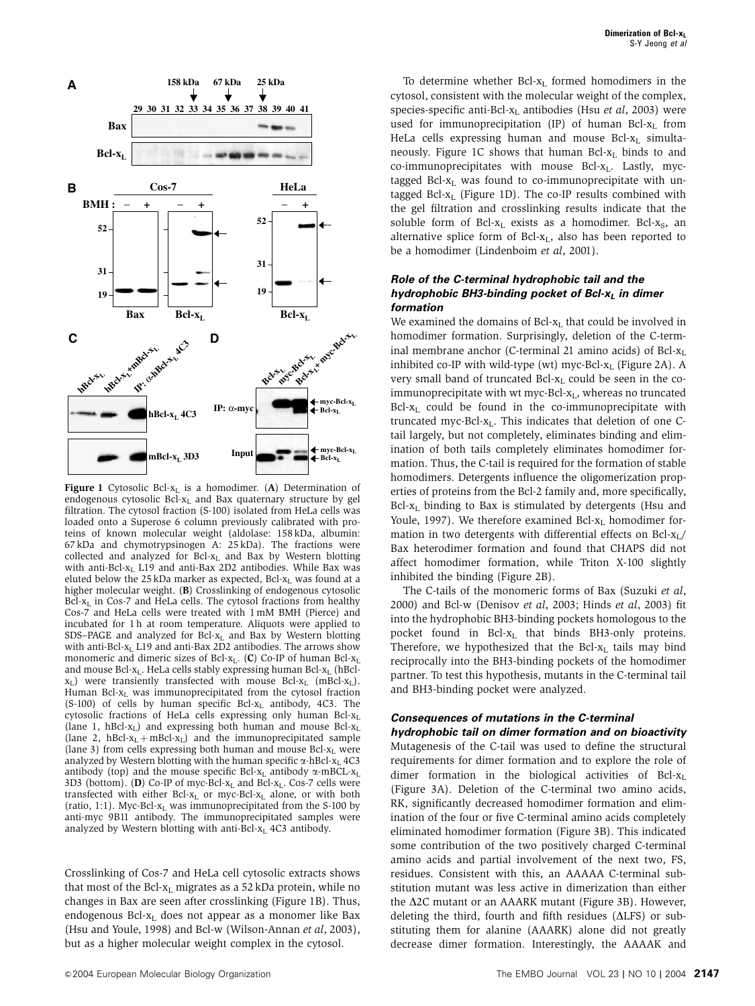

Figure 1 Cytosolic Bcl- $x_L$  is a homodimer. (A) Determination of endogenous cytosolic Bcl- $x_L$  and Bax quaternary structure by gel filtration. The cytosol fraction (S-100) isolated from HeLa cells was loaded onto a Superose 6 column previously calibrated with proteins of known molecular weight (aldolase: 158 kDa, albumin: 67 kDa and chymotrypsinogen A: 25 kDa). The fractions were collected and analyzed for Bcl-xL and Bax by Western blotting with anti-Bcl-xL L19 and anti-Bax 2D2 antibodies. While Bax was eluted below the 25 kDa marker as expected, Bcl-xL was found at a higher molecular weight. (B) Crosslinking of endogenous cytosolic  $Bcl-x<sub>L</sub>$  in Cos-7 and HeLa cells. The cytosol fractions from healthy Cos-7 and HeLa cells were treated with 1 mM BMH (Pierce) and incubated for 1 h at room temperature. Aliquots were applied to SDS–PAGE and analyzed for Bcl- $x_L$  and Bax by Western blotting with anti-Bcl- $x_L$  L19 and anti-Bax 2D2 antibodies. The arrows show monomeric and dimeric sizes of Bcl- $x_L$ . (C) Co-IP of human Bcl- $x_L$ and mouse Bcl-x<sub>L</sub>. HeLa cells stably expressing human Bcl-x<sub>L</sub> (hBcl $x_L$ ) were transiently transfected with mouse Bcl- $x_L$  (mBcl- $x_L$ ). Human Bcl-xL was immunoprecipitated from the cytosol fraction  $(S-100)$  of cells by human specific Bcl- $x<sub>L</sub>$  antibody, 4C3. The cytosolic fractions of HeLa cells expressing only human Bcl-xL (lane 1, hBcl-xL) and expressing both human and mouse Bcl-xL (lane 2, hBcl-x<sub>L</sub> + mBcl-x<sub>L</sub>) and the immunoprecipitated sample (lane 3) from cells expressing both human and mouse Bcl- $x_L$  were analyzed by Western blotting with the human specific  $\alpha$ -hBcl- $x_L$  4C3 antibody (top) and the mouse specific Bcl-x<sub>L</sub> antibody  $\alpha$ -mBCL-x<sub>L</sub> 3D3 (bottom). (D) Co-IP of myc-Bcl- $x_L$  and Bcl- $x_L$ . Cos-7 cells were transfected with either Bcl- $x_L$  or myc-Bcl- $x_L$  alone, or with both (ratio, 1:1). Myc-Bcl- $x_L$  was immunoprecipitated from the S-100 by anti-myc 9B11 antibody. The immunoprecipitated samples were analyzed by Western blotting with anti-Bcl-x<sub>L</sub> 4C3 antibody.

Crosslinking of Cos-7 and HeLa cell cytosolic extracts shows that most of the Bcl- $x_L$  migrates as a 52 kDa protein, while no changes in Bax are seen after crosslinking (Figure 1B). Thus, endogenous Bcl- $x_L$  does not appear as a monomer like Bax (Hsu and Youle, 1998) and Bcl-w (Wilson-Annan et al, 2003), but as a higher molecular weight complex in the cytosol.

To determine whether Bcl- $x<sub>L</sub>$  formed homodimers in the cytosol, consistent with the molecular weight of the complex, species-specific anti-Bcl- $x_L$  antibodies (Hsu *et al*, 2003) were used for immunoprecipitation (IP) of human Bcl- $x_L$  from HeLa cells expressing human and mouse Bcl- $x_L$  simultaneously. Figure 1C shows that human Bcl- $x_L$  binds to and co-immunoprecipitates with mouse Bcl-x<sub>L</sub>. Lastly, myctagged Bcl- $x_L$  was found to co-immunoprecipitate with untagged Bcl- $x_L$  (Figure 1D). The co-IP results combined with the gel filtration and crosslinking results indicate that the soluble form of Bcl- $x_L$  exists as a homodimer. Bcl- $x_S$ , an alternative splice form of Bcl- $x_L$ , also has been reported to be a homodimer (Lindenboim et al, 2001).

## **Role of the C-terminal hydrophobic tail and the hydrophobic BH3-binding pocket of Bcl-x<sub>L</sub> in dimer formation**

We examined the domains of Bcl- $x_L$  that could be involved in homodimer formation. Surprisingly, deletion of the C-terminal membrane anchor (C-terminal 21 amino acids) of Bcl-x<sub>L</sub> inhibited co-IP with wild-type (wt) myc-Bcl- $x_L$  (Figure 2A). A very small band of truncated Bcl- $x_L$  could be seen in the coimmunoprecipitate with wt myc-Bcl-x<sub>L</sub>, whereas no truncated Bcl-xL could be found in the co-immunoprecipitate with truncated myc-Bcl- $x_L$ . This indicates that deletion of one Ctail largely, but not completely, eliminates binding and elimination of both tails completely eliminates homodimer formation. Thus, the C-tail is required for the formation of stable homodimers. Detergents influence the oligomerization properties of proteins from the Bcl-2 family and, more specifically,  $Bcl-x<sub>L</sub>$  binding to Bax is stimulated by detergents (Hsu and Youle, 1997). We therefore examined Bcl- $x_L$  homodimer formation in two detergents with differential effects on  $Bcl-x_L/$ Bax heterodimer formation and found that CHAPS did not affect homodimer formation, while Triton X-100 slightly inhibited the binding (Figure 2B).

The C-tails of the monomeric forms of Bax (Suzuki et al, 2000) and Bcl-w (Denisov et al, 2003; Hinds et al, 2003) fit into the hydrophobic BH3-binding pockets homologous to the pocket found in Bcl-x<sub>L</sub> that binds BH3-only proteins. Therefore, we hypothesized that the Bcl-x<sub>L</sub> tails may bind reciprocally into the BH3-binding pockets of the homodimer partner. To test this hypothesis, mutants in the C-terminal tail and BH3-binding pocket were analyzed.

# **Consequences of mutations in the C-terminal**

**hydrophobic tail on dimer formation and on bioactivity** Mutagenesis of the C-tail was used to define the structural requirements for dimer formation and to explore the role of dimer formation in the biological activities of  $Bcl-x<sub>L</sub>$ (Figure 3A). Deletion of the C-terminal two amino acids, RK, significantly decreased homodimer formation and elimination of the four or five C-terminal amino acids completely eliminated homodimer formation (Figure 3B). This indicated some contribution of the two positively charged C-terminal amino acids and partial involvement of the next two, FS, residues. Consistent with this, an AAAAA C-terminal substitution mutant was less active in dimerization than either the  $\Delta$ 2C mutant or an AAARK mutant (Figure 3B). However, deleting the third, fourth and fifth residues ( $\Delta$ LFS) or substituting them for alanine (AAARK) alone did not greatly decrease dimer formation. Interestingly, the AAAAK and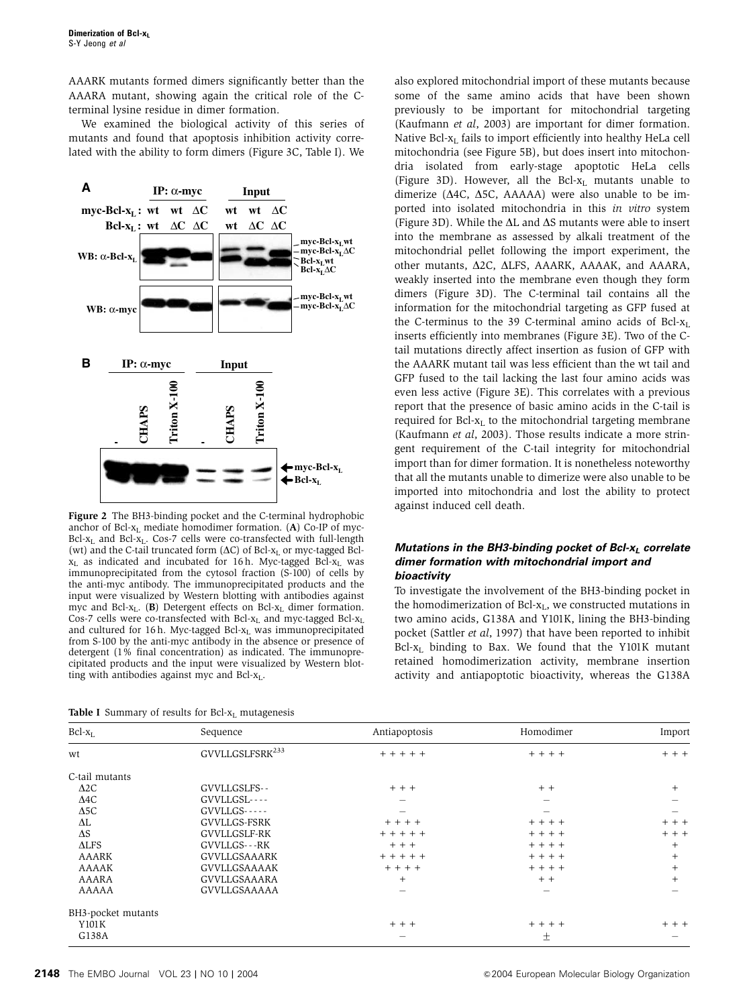AAARK mutants formed dimers significantly better than the AAARA mutant, showing again the critical role of the Cterminal lysine residue in dimer formation.

We examined the biological activity of this series of mutants and found that apoptosis inhibition activity correlated with the ability to form dimers (Figure 3C, Table I). We



Figure 2 The BH3-binding pocket and the C-terminal hydrophobic anchor of Bcl-xL mediate homodimer formation. (A) Co-IP of myc-Bcl-x<sub>L</sub> and Bcl-x<sub>L</sub>. Cos-7 cells were co-transfected with full-length (wt) and the C-tail truncated form  $(AC)$  of Bcl- $x<sub>L</sub>$  or myc-tagged Bcl $x_L$  as indicated and incubated for 16 h. Myc-tagged Bcl- $x_L$  was immunoprecipitated from the cytosol fraction (S-100) of cells by the anti-myc antibody. The immunoprecipitated products and the input were visualized by Western blotting with antibodies against myc and Bcl-x<sub>L</sub>. (B) Detergent effects on Bcl-x<sub>L</sub> dimer formation. Cos-7 cells were co-transfected with Bcl- $x_L$  and myc-tagged Bcl- $x_L$ and cultured for 16 h. Myc-tagged Bcl- $x_L$  was immunoprecipitated from S-100 by the anti-myc antibody in the absence or presence of detergent (1% final concentration) as indicated. The immunoprecipitated products and the input were visualized by Western blotting with antibodies against myc and Bcl-xL.

| <b>Table I</b> Summary of results for Bcl- $x_L$ mutagenesis |
|--------------------------------------------------------------|
|--------------------------------------------------------------|

also explored mitochondrial import of these mutants because some of the same amino acids that have been shown previously to be important for mitochondrial targeting (Kaufmann et al, 2003) are important for dimer formation. Native Bcl-x<sub>L</sub> fails to import efficiently into healthy HeLa cell mitochondria (see Figure 5B), but does insert into mitochondria isolated from early-stage apoptotic HeLa cells (Figure 3D). However, all the Bcl- $x_L$  mutants unable to dimerize ( $\Delta$ 4C,  $\Delta$ 5C, AAAAA) were also unable to be imported into isolated mitochondria in this in vitro system (Figure 3D). While the  $\Delta L$  and  $\Delta S$  mutants were able to insert into the membrane as assessed by alkali treatment of the mitochondrial pellet following the import experiment, the other mutants,  $\Delta$ 2C,  $\Delta$ LFS, AAARK, AAAAK, and AAARA, weakly inserted into the membrane even though they form dimers (Figure 3D). The C-terminal tail contains all the information for the mitochondrial targeting as GFP fused at the C-terminus to the 39 C-terminal amino acids of Bcl- $x_L$ inserts efficiently into membranes (Figure 3E). Two of the Ctail mutations directly affect insertion as fusion of GFP with the AAARK mutant tail was less efficient than the wt tail and GFP fused to the tail lacking the last four amino acids was even less active (Figure 3E). This correlates with a previous report that the presence of basic amino acids in the C-tail is required for  $Bcl-x<sub>L</sub>$  to the mitochondrial targeting membrane (Kaufmann et al, 2003). Those results indicate a more stringent requirement of the C-tail integrity for mitochondrial import than for dimer formation. It is nonetheless noteworthy that all the mutants unable to dimerize were also unable to be imported into mitochondria and lost the ability to protect against induced cell death.

## **Mutations in the BH3-binding pocket of Bcl-x<sub>L</sub> correlate dimer formation with mitochondrial import and bioactivity**

To investigate the involvement of the BH3-binding pocket in the homodimerization of  $Bcl-x<sub>L</sub>$ , we constructed mutations in two amino acids, G138A and Y101K, lining the BH3-binding pocket (Sattler et al, 1997) that have been reported to inhibit  $Bcl-x<sub>L</sub>$  binding to Bax. We found that the Y101K mutant retained homodimerization activity, membrane insertion activity and antiapoptotic bioactivity, whereas the G138A

| $Bcl-xL$           | Sequence                    | Antiapoptosis            | Homodimer | Import         |
|--------------------|-----------------------------|--------------------------|-----------|----------------|
| wt                 | GVVLLGSLFSRK <sup>233</sup> | $+ + + + + +$            | $+ + + +$ | $+ + +$        |
| C-tail mutants     |                             |                          |           |                |
| $\Delta 2C$        | GVVLLGSLFS--                | $+ + +$                  | $+ +$     | $+$            |
| $\Delta 4C$        | GVVLLGSL----                |                          |           |                |
| $\Delta$ 5C        | $GVVLLGS---$                |                          |           |                |
| ΔL                 | GVVLLGS-FSRK                | $+ + + +$                | $+ + + +$ | $+ + +$        |
| $\Delta S$         | GVVLLGSLF-RK                | $+ + + + + +$            | $+ + + +$ | $+ + +$        |
| $\triangle$ LFS    | GVVLLGS---RK                | $+ + +$                  | $+ + + +$ | $+$            |
| AAARK              | <b>GVVLLGSAAARK</b>         | $+ + + + + +$            | $+ + + +$ | $^{+}$         |
| AAAAK              | GVVLLGSAAAAK                | $+ + + +$                | $+ + + +$ | $\overline{+}$ |
| AAARA              | GVVLLGSAAARA                | $^{+}$                   | $+ +$     | $+$            |
| AAAAA              | GVVLLGSAAAAA                | $\overline{\phantom{0}}$ |           |                |
| BH3-pocket mutants |                             |                          |           |                |
| Y101K              |                             | $+ + +$                  | $+ + + +$ | $+ + +$        |
| G138A              |                             |                          | 土         |                |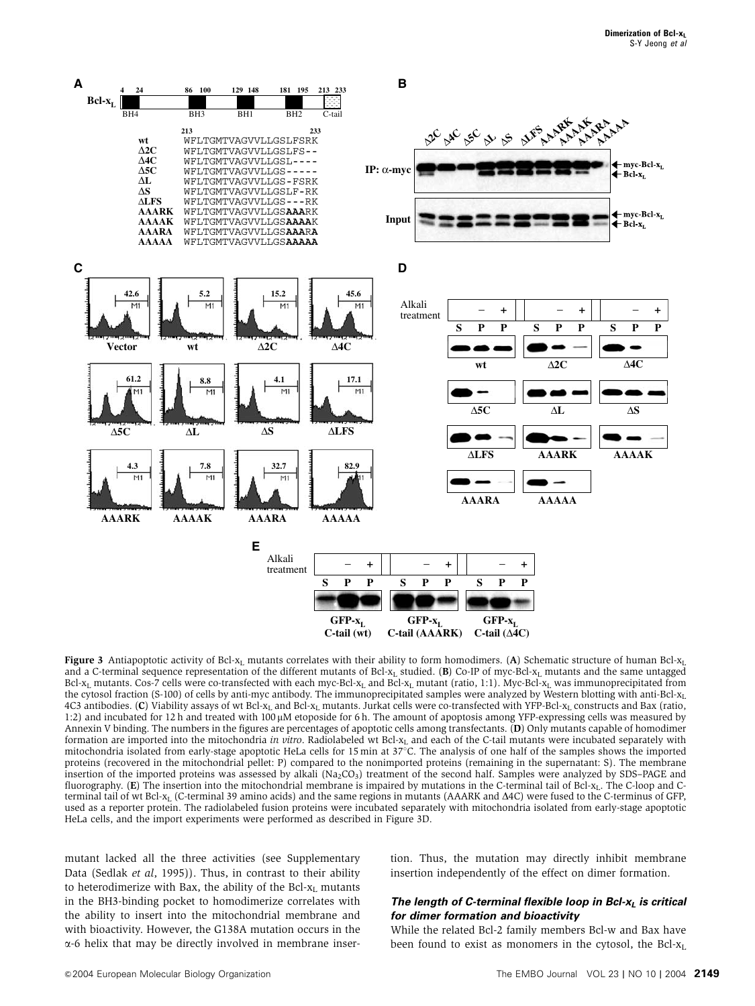

Figure 3 Antiapoptotic activity of Bcl-x<sub>L</sub> mutants correlates with their ability to form homodimers. (A) Schematic structure of human Bcl-x<sub>L</sub> and a C-terminal sequence representation of the different mutants of Bcl- $x_L$  studied. (B) Co-IP of myc-Bcl- $x_L$  mutants and the same untagged Bcl-x<sub>L</sub> mutants. Cos-7 cells were co-transfected with each myc-Bcl-x<sub>L</sub> and Bcl-x<sub>L</sub> mutant (ratio, 1:1). Myc-Bcl-x<sub>L</sub> was immunoprecipitated from the cytosol fraction (S-100) of cells by anti-myc antibody. The immunoprecipitated samples were analyzed by Western blotting with anti-Bcl- $x<sub>L</sub>$ 4C3 antibodies. (C) Viability assays of wt Bcl-x<sub>L</sub> and Bcl-x<sub>L</sub> mutants. Jurkat cells were co-transfected with YFP-Bcl-x<sub>L</sub> constructs and Bax (ratio, 1:2) and incubated for 12 h and treated with 100  $\mu$ M etoposide for 6 h. The amount of apoptosis among YFP-expressing cells was measured by Annexin V binding. The numbers in the figures are percentages of apoptotic cells among transfectants. (D) Only mutants capable of homodimer formation are imported into the mitochondria in vitro. Radiolabeled wt Bcl-x<sub>L</sub> and each of the C-tail mutants were incubated separately with mitochondria isolated from early-stage apoptotic HeLa cells for 15 min at  $37^{\circ}$ C. The analysis of one half of the samples shows the imported proteins (recovered in the mitochondrial pellet: P) compared to the nonimported proteins (remaining in the supernatant: S). The membrane insertion of the imported proteins was assessed by alkali  $(Na_2CO_3)$  treatment of the second half. Samples were analyzed by SDS–PAGE and fluorography.  $(E)$  The insertion into the mitochondrial membrane is impaired by mutations in the C-terminal tail of Bcl-x<sub>L</sub>. The C-loop and Cterminal tail of wt Bcl-x<sub>L</sub> (C-terminal 39 amino acids) and the same regions in mutants (AAARK and  $\Delta$ 4C) were fused to the C-terminus of GFP, used as a reporter protein. The radiolabeled fusion proteins were incubated separately with mitochondria isolated from early-stage apoptotic HeLa cells, and the import experiments were performed as described in Figure 3D.

mutant lacked all the three activities (see Supplementary Data (Sedlak et al, 1995)). Thus, in contrast to their ability to heterodimerize with Bax, the ability of the Bcl- $x_L$  mutants in the BH3-binding pocket to homodimerize correlates with the ability to insert into the mitochondrial membrane and with bioactivity. However, the G138A mutation occurs in the  $\alpha$ -6 helix that may be directly involved in membrane insertion. Thus, the mutation may directly inhibit membrane insertion independently of the effect on dimer formation.

## **The length of C-terminal flexible loop in Bcl-x<sub>1</sub> is critical for dimer formation and bioactivity**

While the related Bcl-2 family members Bcl-w and Bax have been found to exist as monomers in the cytosol, the Bcl- $x_L$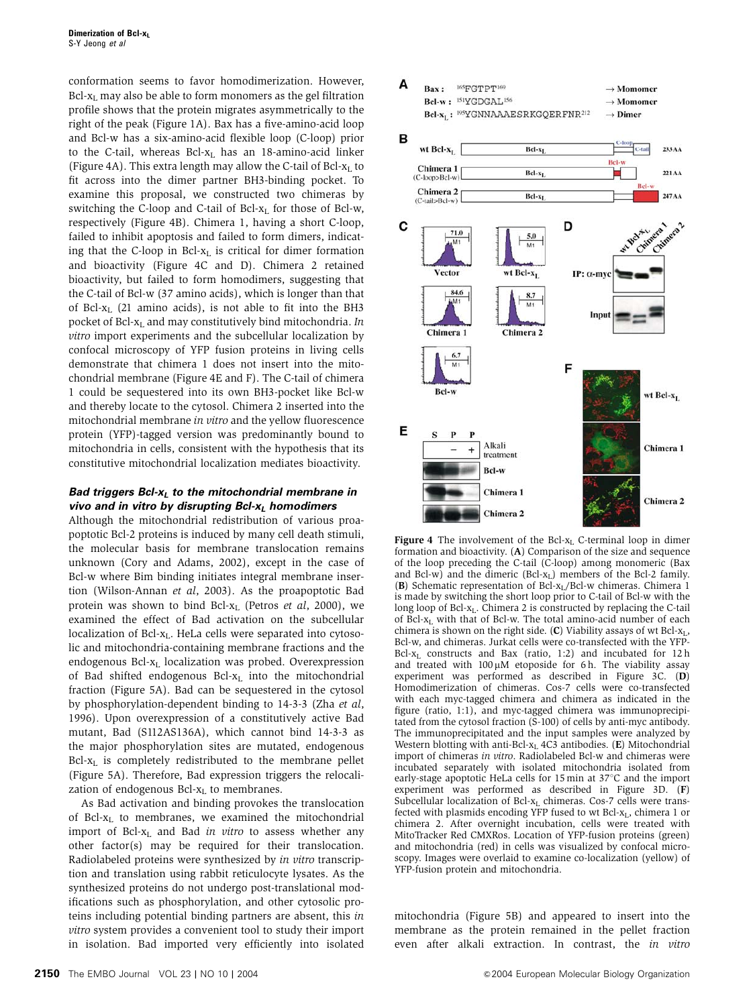conformation seems to favor homodimerization. However,  $Bcl-x<sub>L</sub>$  may also be able to form monomers as the gel filtration profile shows that the protein migrates asymmetrically to the right of the peak (Figure 1A). Bax has a five-amino-acid loop and Bcl-w has a six-amino-acid flexible loop (C-loop) prior to the C-tail, whereas  $Bcl-x_L$  has an 18-amino-acid linker (Figure 4A). This extra length may allow the C-tail of  $Bcl-x<sub>L</sub>$  to fit across into the dimer partner BH3-binding pocket. To examine this proposal, we constructed two chimeras by switching the C-loop and C-tail of Bcl- $x_L$  for those of Bcl-w, respectively (Figure 4B). Chimera 1, having a short C-loop, failed to inhibit apoptosis and failed to form dimers, indicating that the C-loop in Bcl- $x_L$  is critical for dimer formation and bioactivity (Figure 4C and D). Chimera 2 retained bioactivity, but failed to form homodimers, suggesting that the C-tail of Bcl-w (37 amino acids), which is longer than that of Bcl-xL (21 amino acids), is not able to fit into the BH3 pocket of Bcl- $x_L$  and may constitutively bind mitochondria. In vitro import experiments and the subcellular localization by confocal microscopy of YFP fusion proteins in living cells demonstrate that chimera 1 does not insert into the mitochondrial membrane (Figure 4E and F). The C-tail of chimera 1 could be sequestered into its own BH3-pocket like Bcl-w and thereby locate to the cytosol. Chimera 2 inserted into the mitochondrial membrane in vitro and the yellow fluorescence protein (YFP)-tagged version was predominantly bound to mitochondria in cells, consistent with the hypothesis that its constitutive mitochondrial localization mediates bioactivity.

## **Bad triggers Bcl-xL to the mitochondrial membrane in vivo and in vitro by disrupting Bcl-x<sub>L</sub> homodimers**

Although the mitochondrial redistribution of various proapoptotic Bcl-2 proteins is induced by many cell death stimuli, the molecular basis for membrane translocation remains unknown (Cory and Adams, 2002), except in the case of Bcl-w where Bim binding initiates integral membrane insertion (Wilson-Annan et al, 2003). As the proapoptotic Bad protein was shown to bind Bcl- $x_L$  (Petros et al, 2000), we examined the effect of Bad activation on the subcellular localization of  $Bcl-x<sub>L</sub>$ . HeLa cells were separated into cytosolic and mitochondria-containing membrane fractions and the endogenous Bcl-x<sub>L</sub> localization was probed. Overexpression of Bad shifted endogenous Bcl- $x_L$  into the mitochondrial fraction (Figure 5A). Bad can be sequestered in the cytosol by phosphorylation-dependent binding to 14-3-3 (Zha et al, 1996). Upon overexpression of a constitutively active Bad mutant, Bad (S112AS136A), which cannot bind 14-3-3 as the major phosphorylation sites are mutated, endogenous  $Bcl-x<sub>L</sub>$  is completely redistributed to the membrane pellet (Figure 5A). Therefore, Bad expression triggers the relocalization of endogenous  $Bcl-x_L$  to membranes.

As Bad activation and binding provokes the translocation of Bcl- $x_L$  to membranes, we examined the mitochondrial import of Bcl- $x_L$  and Bad in vitro to assess whether any other factor(s) may be required for their translocation. Radiolabeled proteins were synthesized by in vitro transcription and translation using rabbit reticulocyte lysates. As the synthesized proteins do not undergo post-translational modifications such as phosphorylation, and other cytosolic proteins including potential binding partners are absent, this in vitro system provides a convenient tool to study their import in isolation. Bad imported very efficiently into isolated



**Figure 4** The involvement of the Bcl- $x_L$  C-terminal loop in dimer formation and bioactivity. (A) Comparison of the size and sequence of the loop preceding the C-tail (C-loop) among monomeric (Bax and Bcl-w) and the dimeric  $(Bcl-x<sub>L</sub>)$  members of the Bcl-2 family. (B) Schematic representation of Bcl-xL/Bcl-w chimeras. Chimera 1 is made by switching the short loop prior to C-tail of Bcl-w with the long loop of Bcl-x<sub>L</sub>. Chimera 2 is constructed by replacing the C-tail of  $\overline{B}$ cl- $x_L$  with that of Bcl-w. The total amino-acid number of each chimera is shown on the right side.  $(C)$  Viability assays of wt Bcl- $x_L$ , Bcl-w, and chimeras. Jurkat cells were co-transfected with the YFP-Bcl- $x_L$  constructs and Bax (ratio, 1:2) and incubated for 12 h and treated with  $100 \mu$ M etoposide for 6 h. The viability assay experiment was performed as described in Figure 3C. (D) Homodimerization of chimeras. Cos-7 cells were co-transfected with each myc-tagged chimera and chimera as indicated in the figure (ratio, 1:1), and myc-tagged chimera was immunoprecipitated from the cytosol fraction (S-100) of cells by anti-myc antibody. The immunoprecipitated and the input samples were analyzed by Western blotting with anti-Bcl- $x<sub>L</sub>$  4C3 antibodies. (E) Mitochondrial import of chimeras in vitro. Radiolabeled Bcl-w and chimeras were incubated separately with isolated mitochondria isolated from early-stage apoptotic HeLa cells for  $15 \text{ min}$  at  $37^{\circ}$ C and the import experiment was performed as described in Figure 3D. (F) Subcellular localization of Bcl- $x<sub>L</sub>$  chimeras. Cos-7 cells were transfected with plasmids encoding YFP fused to wt Bcl-xL, chimera 1 or chimera 2. After overnight incubation, cells were treated with MitoTracker Red CMXRos. Location of YFP-fusion proteins (green) and mitochondria (red) in cells was visualized by confocal microscopy. Images were overlaid to examine co-localization (yellow) of YFP-fusion protein and mitochondria.

mitochondria (Figure 5B) and appeared to insert into the membrane as the protein remained in the pellet fraction even after alkali extraction. In contrast, the in vitro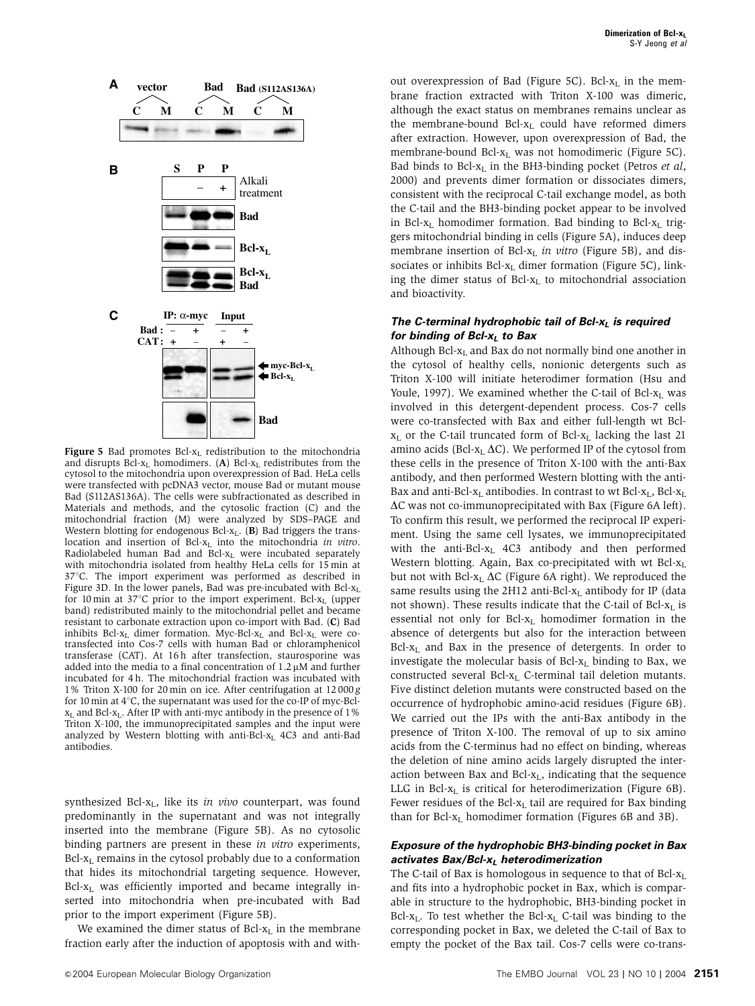

**Figure 5** Bad promotes Bcl- $x_L$  redistribution to the mitochondria and disrupts Bcl- $x_L$  homodimers. (A) Bcl- $x_L$  redistributes from the cytosol to the mitochondria upon overexpression of Bad. HeLa cells were transfected with pcDNA3 vector, mouse Bad or mutant mouse Bad (S112AS136A). The cells were subfractionated as described in Materials and methods, and the cytosolic fraction (C) and the mitochondrial fraction (M) were analyzed by SDS–PAGE and Western blotting for endogenous Bcl- $x_L$ . (B) Bad triggers the translocation and insertion of Bcl-xL into the mitochondria in vitro. Radiolabeled human Bad and Bcl- $x_L$  were incubated separately with mitochondria isolated from healthy HeLa cells for 15 min at 37°C. The import experiment was performed as described in Figure 3D. In the lower panels, Bad was pre-incubated with  $Bcl-x<sub>L</sub>$ for 10 min at 37 $\degree$ C prior to the import experiment. Bcl- $x_L$  (upper band) redistributed mainly to the mitochondrial pellet and became resistant to carbonate extraction upon co-import with Bad. (C) Bad inhibits Bcl-x<sub>L</sub> dimer formation. Myc-Bcl-x<sub>L</sub> and Bcl-x<sub>L</sub> were cotransfected into Cos-7 cells with human Bad or chloramphenicol transferase (CAT). At 16 h after transfection, staurosporine was added into the media to a final concentration of  $1.2 \mu M$  and further incubated for 4 h. The mitochondrial fraction was incubated with 1% Triton X-100 for 20 min on ice. After centrifugation at 12 000 g for 10 min at  $4^{\circ}$ C, the supernatant was used for the co-IP of myc-Bcl $x<sub>L</sub>$  and Bcl- $x<sub>L</sub>$ . After IP with anti-myc antibody in the presence of 1% Triton X-100, the immunoprecipitated samples and the input were analyzed by Western blotting with anti-Bcl- $x_L$  4C3 and anti-Bad antibodies.

synthesized Bcl- $x_L$ , like its in vivo counterpart, was found predominantly in the supernatant and was not integrally inserted into the membrane (Figure 5B). As no cytosolic binding partners are present in these in vitro experiments,  $Bcl-x<sub>L</sub>$  remains in the cytosol probably due to a conformation that hides its mitochondrial targeting sequence. However,  $Bcl-x<sub>L</sub>$  was efficiently imported and became integrally inserted into mitochondria when pre-incubated with Bad prior to the import experiment (Figure 5B).

We examined the dimer status of Bcl- $x_L$  in the membrane fraction early after the induction of apoptosis with and without overexpression of Bad (Figure 5C). Bcl- $x_L$  in the membrane fraction extracted with Triton X-100 was dimeric, although the exact status on membranes remains unclear as the membrane-bound Bcl- $x_L$  could have reformed dimers after extraction. However, upon overexpression of Bad, the membrane-bound Bcl- $x_L$  was not homodimeric (Figure 5C). Bad binds to Bcl- $x_L$  in the BH3-binding pocket (Petros et al, 2000) and prevents dimer formation or dissociates dimers, consistent with the reciprocal C-tail exchange model, as both the C-tail and the BH3-binding pocket appear to be involved in Bcl- $x_L$  homodimer formation. Bad binding to Bcl- $x_L$  triggers mitochondrial binding in cells (Figure 5A), induces deep membrane insertion of Bcl- $x_L$  in vitro (Figure 5B), and dissociates or inhibits Bcl- $x_L$  dimer formation (Figure 5C), linking the dimer status of Bcl-x<sub>L</sub> to mitochondrial association and bioactivity.

## The C-terminal hydrophobic tail of Bcl-x<sub>L</sub> is required **for binding of Bcl-x<sub>L</sub> to Bax**

Although Bcl- $x<sub>L</sub>$  and Bax do not normally bind one another in the cytosol of healthy cells, nonionic detergents such as Triton X-100 will initiate heterodimer formation (Hsu and Youle, 1997). We examined whether the C-tail of Bcl- $x_L$  was involved in this detergent-dependent process. Cos-7 cells were co-transfected with Bax and either full-length wt Bcl $x_L$  or the C-tail truncated form of Bcl- $x_L$  lacking the last 21 amino acids (Bcl- $x_L \Delta C$ ). We performed IP of the cytosol from these cells in the presence of Triton X-100 with the anti-Bax antibody, and then performed Western blotting with the anti-Bax and anti-Bcl- $x_L$  antibodies. In contrast to wt Bcl- $x_L$ , Bcl- $x_L$  $\Delta C$  was not co-immunoprecipitated with Bax (Figure 6A left). To confirm this result, we performed the reciprocal IP experiment. Using the same cell lysates, we immunoprecipitated with the anti-Bcl- $x_L$  4C3 antibody and then performed Western blotting. Again, Bax co-precipitated with wt Bcl- $x_L$ but not with Bcl- $x_L \Delta C$  (Figure 6A right). We reproduced the same results using the 2H12 anti-Bcl-x<sub>L</sub> antibody for IP (data not shown). These results indicate that the C-tail of Bcl-x<sub>L</sub> is essential not only for Bcl- $x_L$  homodimer formation in the absence of detergents but also for the interaction between  $Bcl-x<sub>L</sub>$  and Bax in the presence of detergents. In order to investigate the molecular basis of Bcl- $x_L$  binding to Bax, we constructed several Bcl- $x_L$  C-terminal tail deletion mutants. Five distinct deletion mutants were constructed based on the occurrence of hydrophobic amino-acid residues (Figure 6B). We carried out the IPs with the anti-Bax antibody in the presence of Triton X-100. The removal of up to six amino acids from the C-terminus had no effect on binding, whereas the deletion of nine amino acids largely disrupted the interaction between Bax and Bcl- $x_L$ , indicating that the sequence LLG in Bcl- $x_L$  is critical for heterodimerization (Figure 6B). Fewer residues of the Bcl- $x_L$  tail are required for Bax binding than for Bcl- $x_L$  homodimer formation (Figures 6B and 3B).

## **Exposure of the hydrophobic BH3-binding pocket in Bax activates Bax/Bcl-xL heterodimerization**

The C-tail of Bax is homologous in sequence to that of  $Bcl-x<sub>L</sub>$ and fits into a hydrophobic pocket in Bax, which is comparable in structure to the hydrophobic, BH3-binding pocket in Bcl- $x_L$ . To test whether the Bcl- $x_L$  C-tail was binding to the corresponding pocket in Bax, we deleted the C-tail of Bax to empty the pocket of the Bax tail. Cos-7 cells were co-trans-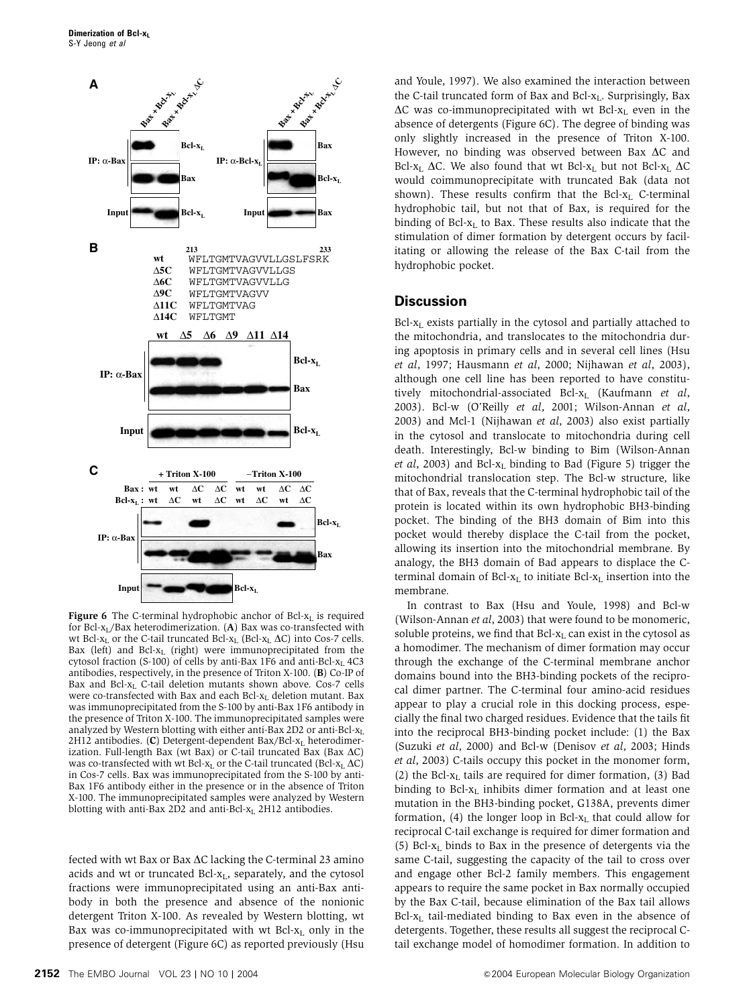

**Figure 6** The C-terminal hydrophobic anchor of Bcl- $x_i$  is required for Bcl-x<sub>L</sub>/Bax heterodimerization. (A) Bax was co-transfected with wt Bcl-x<sub>L</sub> or the C-tail truncated Bcl-x<sub>L</sub> (Bcl-x<sub>L</sub>  $\Delta$ C) into Cos-7 cells. Bax (left) and Bcl-x<sub>L</sub> (right) were immunoprecipitated from the cytosol fraction (S-100) of cells by anti-Bax 1F6 and anti-Bcl- $x_L$  4C3 antibodies, respectively, in the presence of Triton X-100. (B) Co-IP of Bax and Bcl-xL C-tail deletion mutants shown above. Cos-7 cells were co-transfected with Bax and each Bcl-x<sub>L</sub> deletion mutant. Bax was immunoprecipitated from the S-100 by anti-Bax 1F6 antibody in the presence of Triton X-100. The immunoprecipitated samples were analyzed by Western blotting with either anti-Bax 2D2 or anti-Bcl- $x_L$  $2H12$  antibodies. (C) Detergent-dependent Bax/Bcl- $x<sub>L</sub>$  heterodimerization. Full-length Bax (wt Bax) or C-tail truncated Bax (Bax  $\Delta C$ ) was co-transfected with wt Bcl- $x_L$  or the C-tail truncated (Bcl- $x_L \Delta C$ ) in Cos-7 cells. Bax was immunoprecipitated from the S-100 by anti-Bax 1F6 antibody either in the presence or in the absence of Triton X-100. The immunoprecipitated samples were analyzed by Western blotting with anti-Bax 2D2 and anti-Bcl- $x_L$  2H12 antibodies.

fected with wt Bax or Bax  $\Delta C$  lacking the C-terminal 23 amino acids and wt or truncated Bcl- $x_L$ , separately, and the cytosol fractions were immunoprecipitated using an anti-Bax antibody in both the presence and absence of the nonionic detergent Triton X-100. As revealed by Western blotting, wt Bax was co-immunoprecipitated with wt Bcl- $x_L$  only in the presence of detergent (Figure 6C) as reported previously (Hsu and Youle, 1997). We also examined the interaction between the C-tail truncated form of Bax and Bcl- $x_L$ . Surprisingly, Bax  $\Delta C$  was co-immunoprecipitated with wt Bcl-x<sub>L</sub> even in the absence of detergents (Figure 6C). The degree of binding was only slightly increased in the presence of Triton X-100. However, no binding was observed between Bax  $\Delta C$  and Bcl-x<sub>L</sub>  $\Delta C$ . We also found that wt Bcl-x<sub>L</sub> but not Bcl-x<sub>L</sub>  $\Delta C$ would coimmunoprecipitate with truncated Bak (data not shown). These results confirm that the Bcl- $x_L$  C-terminal hydrophobic tail, but not that of Bax, is required for the binding of Bcl- $x_L$  to Bax. These results also indicate that the stimulation of dimer formation by detergent occurs by facilitating or allowing the release of the Bax C-tail from the hydrophobic pocket.

## **Discussion**

 $Bcl-x<sub>L</sub>$  exists partially in the cytosol and partially attached to the mitochondria, and translocates to the mitochondria during apoptosis in primary cells and in several cell lines (Hsu et al, 1997; Hausmann et al, 2000; Nijhawan et al, 2003), although one cell line has been reported to have constitutively mitochondrial-associated Bcl- $x_L$  (Kaufmann et al, 2003). Bcl-w (O'Reilly et al, 2001; Wilson-Annan et al, 2003) and Mcl-1 (Nijhawan et al, 2003) also exist partially in the cytosol and translocate to mitochondria during cell death. Interestingly, Bcl-w binding to Bim (Wilson-Annan et al, 2003) and Bcl- $x_L$  binding to Bad (Figure 5) trigger the mitochondrial translocation step. The Bcl-w structure, like that of Bax, reveals that the C-terminal hydrophobic tail of the protein is located within its own hydrophobic BH3-binding pocket. The binding of the BH3 domain of Bim into this pocket would thereby displace the C-tail from the pocket, allowing its insertion into the mitochondrial membrane. By analogy, the BH3 domain of Bad appears to displace the Cterminal domain of Bcl- $x_L$  to initiate Bcl- $x_L$  insertion into the membrane.

In contrast to Bax (Hsu and Youle, 1998) and Bcl-w (Wilson-Annan et al, 2003) that were found to be monomeric, soluble proteins, we find that  $Bcl-x<sub>L</sub>$  can exist in the cytosol as a homodimer. The mechanism of dimer formation may occur through the exchange of the C-terminal membrane anchor domains bound into the BH3-binding pockets of the reciprocal dimer partner. The C-terminal four amino-acid residues appear to play a crucial role in this docking process, especially the final two charged residues. Evidence that the tails fit into the reciprocal BH3-binding pocket include: (1) the Bax (Suzuki et al, 2000) and Bcl-w (Denisov et al, 2003; Hinds et al, 2003) C-tails occupy this pocket in the monomer form, (2) the Bcl- $x_L$  tails are required for dimer formation, (3) Bad binding to Bcl-x<sub>L</sub> inhibits dimer formation and at least one mutation in the BH3-binding pocket, G138A, prevents dimer formation, (4) the longer loop in Bcl- $x_L$  that could allow for reciprocal C-tail exchange is required for dimer formation and (5) Bcl- $x_L$  binds to Bax in the presence of detergents via the same C-tail, suggesting the capacity of the tail to cross over and engage other Bcl-2 family members. This engagement appears to require the same pocket in Bax normally occupied by the Bax C-tail, because elimination of the Bax tail allows  $Bcl-x<sub>L</sub>$  tail-mediated binding to Bax even in the absence of detergents. Together, these results all suggest the reciprocal Ctail exchange model of homodimer formation. In addition to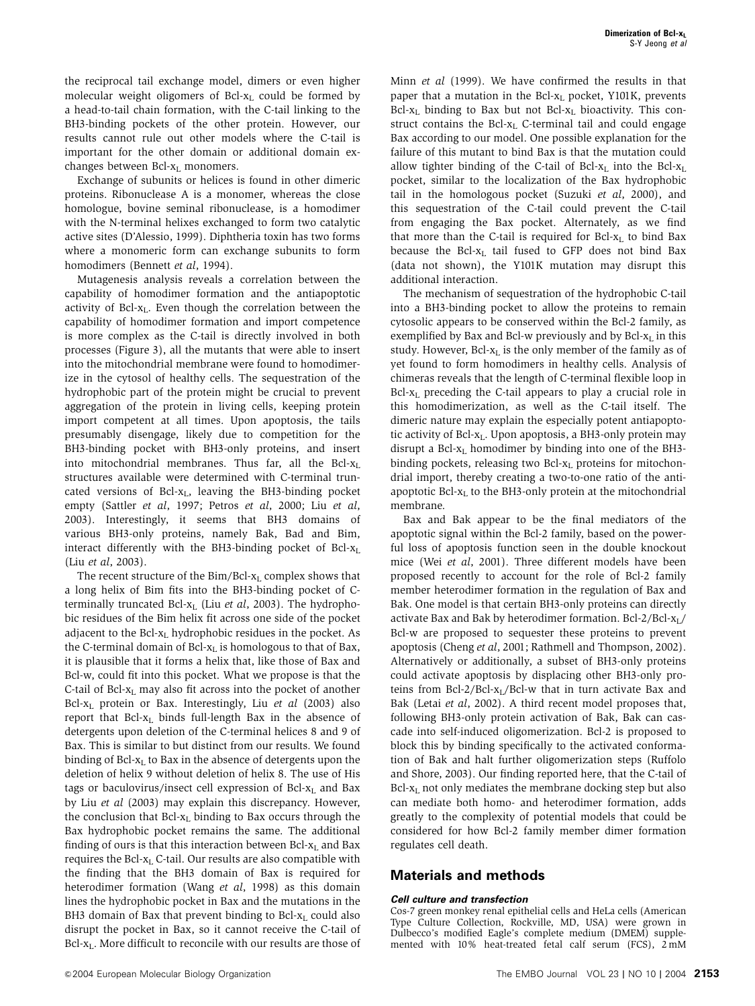the reciprocal tail exchange model, dimers or even higher molecular weight oligomers of Bcl- $x_L$  could be formed by a head-to-tail chain formation, with the C-tail linking to the BH3-binding pockets of the other protein. However, our results cannot rule out other models where the C-tail is important for the other domain or additional domain exchanges between  $Bcl-x<sub>L</sub>$  monomers.

Exchange of subunits or helices is found in other dimeric proteins. Ribonuclease A is a monomer, whereas the close homologue, bovine seminal ribonuclease, is a homodimer with the N-terminal helixes exchanged to form two catalytic active sites (D'Alessio, 1999). Diphtheria toxin has two forms where a monomeric form can exchange subunits to form homodimers (Bennett et al, 1994).

Mutagenesis analysis reveals a correlation between the capability of homodimer formation and the antiapoptotic activity of Bcl-xL. Even though the correlation between the capability of homodimer formation and import competence is more complex as the C-tail is directly involved in both processes (Figure 3), all the mutants that were able to insert into the mitochondrial membrane were found to homodimerize in the cytosol of healthy cells. The sequestration of the hydrophobic part of the protein might be crucial to prevent aggregation of the protein in living cells, keeping protein import competent at all times. Upon apoptosis, the tails presumably disengage, likely due to competition for the BH3-binding pocket with BH3-only proteins, and insert into mitochondrial membranes. Thus far, all the Bcl- $x_L$ structures available were determined with C-terminal truncated versions of  $Bcl-x<sub>L</sub>$ , leaving the BH3-binding pocket empty (Sattler et al, 1997; Petros et al, 2000; Liu et al, 2003). Interestingly, it seems that BH3 domains of various BH3-only proteins, namely Bak, Bad and Bim, interact differently with the BH3-binding pocket of Bcl-xL (Liu et al, 2003).

The recent structure of the  $\text{Bim}/\text{Bcl-}x_L$  complex shows that a long helix of Bim fits into the BH3-binding pocket of Cterminally truncated Bcl- $x_L$  (Liu et al, 2003). The hydrophobic residues of the Bim helix fit across one side of the pocket adjacent to the Bcl- $x_L$  hydrophobic residues in the pocket. As the C-terminal domain of  $Bcl-x<sub>L</sub>$  is homologous to that of Bax, it is plausible that it forms a helix that, like those of Bax and Bcl-w, could fit into this pocket. What we propose is that the C-tail of Bcl- $x_L$  may also fit across into the pocket of another Bcl- $x_L$  protein or Bax. Interestingly, Liu et al (2003) also report that Bcl- $x_L$  binds full-length Bax in the absence of detergents upon deletion of the C-terminal helices 8 and 9 of Bax. This is similar to but distinct from our results. We found binding of Bcl- $x<sub>L</sub>$  to Bax in the absence of detergents upon the deletion of helix 9 without deletion of helix 8. The use of His tags or baculovirus/insect cell expression of Bcl- $x_L$  and Bax by Liu et al (2003) may explain this discrepancy. However, the conclusion that  $Bcl-x<sub>L</sub>$  binding to Bax occurs through the Bax hydrophobic pocket remains the same. The additional finding of ours is that this interaction between  $Bcl-x<sub>L</sub>$  and Bax requires the Bcl- $x_L$  C-tail. Our results are also compatible with the finding that the BH3 domain of Bax is required for heterodimer formation (Wang et al, 1998) as this domain lines the hydrophobic pocket in Bax and the mutations in the BH3 domain of Bax that prevent binding to Bcl- $x_L$  could also disrupt the pocket in Bax, so it cannot receive the C-tail of  $Bcl-x<sub>L</sub>$ . More difficult to reconcile with our results are those of Minn et al (1999). We have confirmed the results in that paper that a mutation in the Bcl- $x_L$  pocket, Y101K, prevents Bcl- $x_L$  binding to Bax but not Bcl- $x_L$  bioactivity. This construct contains the Bcl- $x_L$  C-terminal tail and could engage Bax according to our model. One possible explanation for the failure of this mutant to bind Bax is that the mutation could allow tighter binding of the C-tail of Bcl- $x_L$  into the Bcl- $x_L$ pocket, similar to the localization of the Bax hydrophobic tail in the homologous pocket (Suzuki et al, 2000), and this sequestration of the C-tail could prevent the C-tail from engaging the Bax pocket. Alternately, as we find that more than the C-tail is required for Bcl- $x_L$  to bind Bax because the Bcl- $x_L$  tail fused to GFP does not bind Bax (data not shown), the Y101K mutation may disrupt this additional interaction.

The mechanism of sequestration of the hydrophobic C-tail into a BH3-binding pocket to allow the proteins to remain cytosolic appears to be conserved within the Bcl-2 family, as exemplified by Bax and Bcl-w previously and by Bcl- $x<sub>L</sub>$  in this study. However,  $Bcl-x_L$  is the only member of the family as of yet found to form homodimers in healthy cells. Analysis of chimeras reveals that the length of C-terminal flexible loop in  $Bcl-x_L$  preceding the C-tail appears to play a crucial role in this homodimerization, as well as the C-tail itself. The dimeric nature may explain the especially potent antiapoptotic activity of Bcl-x<sub>L</sub>. Upon apoptosis, a BH3-only protein may disrupt a Bcl- $x_L$  homodimer by binding into one of the BH3binding pockets, releasing two Bcl-x<sub>L</sub> proteins for mitochondrial import, thereby creating a two-to-one ratio of the antiapoptotic Bcl- $x_L$  to the BH3-only protein at the mitochondrial membrane.

Bax and Bak appear to be the final mediators of the apoptotic signal within the Bcl-2 family, based on the powerful loss of apoptosis function seen in the double knockout mice (Wei et al, 2001). Three different models have been proposed recently to account for the role of Bcl-2 family member heterodimer formation in the regulation of Bax and Bak. One model is that certain BH3-only proteins can directly activate Bax and Bak by heterodimer formation. Bcl-2/Bcl- $x_L$ / Bcl-w are proposed to sequester these proteins to prevent apoptosis (Cheng et al, 2001; Rathmell and Thompson, 2002). Alternatively or additionally, a subset of BH3-only proteins could activate apoptosis by displacing other BH3-only proteins from Bcl-2/Bcl- $x_L$ /Bcl-w that in turn activate Bax and Bak (Letai et al, 2002). A third recent model proposes that, following BH3-only protein activation of Bak, Bak can cascade into self-induced oligomerization. Bcl-2 is proposed to block this by binding specifically to the activated conformation of Bak and halt further oligomerization steps (Ruffolo and Shore, 2003). Our finding reported here, that the C-tail of  $Bcl-x<sub>L</sub>$  not only mediates the membrane docking step but also can mediate both homo- and heterodimer formation, adds greatly to the complexity of potential models that could be considered for how Bcl-2 family member dimer formation regulates cell death.

# **Materials and methods**

### **Cell culture and transfection**

Cos-7 green monkey renal epithelial cells and HeLa cells (American Type Culture Collection, Rockville, MD, USA) were grown in Dulbecco's modified Eagle's complete medium (DMEM) supplemented with 10% heat-treated fetal calf serum (FCS), 2 mM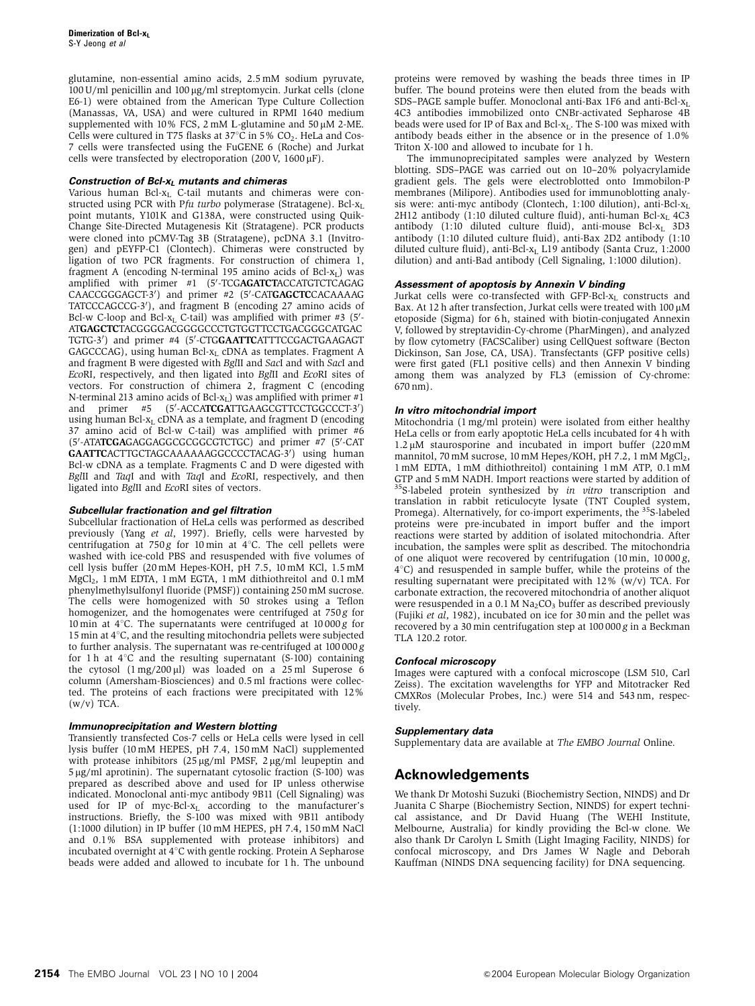glutamine, non-essential amino acids, 2.5 mM sodium pyruvate, 100 U/ml penicillin and 100 μg/ml streptomycin. Jurkat cells (clone E6-1) were obtained from the American Type Culture Collection (Manassas, VA, USA) and were cultured in RPMI 1640 medium supplemented with 10% FCS, 2 mM L-glutamine and 50  $\mu$ M 2-ME. Cells were cultured in T75 flasks at  $37^{\circ}$ C in 5% CO<sub>2</sub>. HeLa and Cos-7 cells were transfected using the FuGENE 6 (Roche) and Jurkat cells were transfected by electroporation (200 V,  $1600 \mu$ F).

#### **Construction of Bcl-xL mutants and chimeras**

Various human Bcl-xL C-tail mutants and chimeras were constructed using PCR with Pfu turbo polymerase (Stratagene). Bcl- $x_L$ point mutants, Y101K and G138A, were constructed using Quik-Change Site-Directed Mutagenesis Kit (Stratagene). PCR products were cloned into pCMV-Tag 3B (Stratagene), pcDNA 3.1 (Invitrogen) and pEYFP-C1 (Clontech). Chimeras were constructed by ligation of two PCR fragments. For construction of chimera 1, fragment A (encoding N-terminal 195 amino acids of Bcl- $x_L$ ) was amplified with primer #1 (5'-TCGAGATCTACCATGTCTCAGAG CAACCGGGAGCT-3') and primer #2 (5'-CATGAGCTCCACAAAAG TATCCCAGCCG-3'), and fragment B (encoding 27 amino acids of Bcl-w C-loop and Bcl- $x_L$  C-tail) was amplified with primer #3 (5'-ATGAGCTCTACGGGGACGGGGCCCTGTGGTTCCTGACGGGCATGAC TGTG-3') and primer #4 (5'-CTGGAATTCATTTCCGACTGAAGAGT GAGCCCAG), using human Bcl-x<sub>L</sub> cDNA as templates. Fragment A and fragment B were digested with BglII and SacI and with SacI and EcoRI, respectively, and then ligated into BglII and EcoRI sites of vectors. For construction of chimera 2, fragment C (encoding N-terminal 213 amino acids of Bcl- $x_L$ ) was amplified with primer #1 and primer #5 -ACCATCGATTGAAGCGTTCCTGGCCCT-3') using human Bcl- $x_L$  cDNA as a template, and fragment D (encoding 37 amino acid of Bcl-w C-tail) was amplified with primer #6 (5'-ATATCGAGAGGAGGCGCGGCGTCTGC) and primer #7 (5'-CAT GAATTCACTTGCTAGCAAAAAAGGCCCCTACAG-3') using human Bcl-w cDNA as a template. Fragments C and D were digested with BglII and TaqI and with TaqI and EcoRI, respectively, and then ligated into BglII and EcoRI sites of vectors.

#### **Subcellular fractionation and gel filtration**

Subcellular fractionation of HeLa cells was performed as described previously (Yang et al, 1997). Briefly, cells were harvested by centrifugation at 750 g for 10 min at 4 $^{\circ}$ C. The cell pellets were washed with ice-cold PBS and resuspended with five volumes of cell lysis buffer (20 mM Hepes-KOH, pH 7.5, 10 mM KCl, 1.5 mM MgCl2, 1 mM EDTA, 1 mM EGTA, 1 mM dithiothreitol and 0.1 mM phenylmethylsulfonyl fluoride (PMSF)) containing 250 mM sucrose. The cells were homogenized with 50 strokes using a Teflon homogenizer, and the homogenates were centrifuged at  $750 g$  for 10 min at  $4^{\circ}$ C. The supernatants were centrifuged at 10 000 g for 15 min at  $4^{\circ}$ C, and the resulting mitochondria pellets were subjected to further analysis. The supernatant was re-centrifuged at 100 000 g for 1 h at  $4^{\circ}$ C and the resulting supernatant (S-100) containing the cytosol  $(1 \text{ mg}/200 \mu l)$  was loaded on a 25 ml Superose 6 column (Amersham-Biosciences) and 0.5 ml fractions were collected. The proteins of each fractions were precipitated with 12%  $(w/v)$  TCA.

#### **Immunoprecipitation and Western blotting**

Transiently transfected Cos-7 cells or HeLa cells were lysed in cell lysis buffer (10 mM HEPES, pH 7.4, 150 mM NaCl) supplemented with protease inhibitors  $(25 \mu g/ml$  PMSF,  $2 \mu g/ml$  leupeptin and  $5 \mu$ g/ml aprotinin). The supernatant cytosolic fraction (S-100) was prepared as described above and used for IP unless otherwise indicated. Monoclonal anti-myc antibody 9B11 (Cell Signaling) was used for IP of myc-Bcl-x<sub>L</sub> according to the manufacturer's instructions. Briefly, the S-100 was mixed with 9B11 antibody (1:1000 dilution) in IP buffer (10 mM HEPES, pH 7.4, 150 mM NaCl and 0.1% BSA supplemented with protease inhibitors) and incubated overnight at  $4^{\circ}$ C with gentle rocking. Protein A Sepharose beads were added and allowed to incubate for 1 h. The unbound proteins were removed by washing the beads three times in IP buffer. The bound proteins were then eluted from the beads with SDS–PAGE sample buffer. Monoclonal anti-Bax 1F6 and anti-Bcl- $x_L$ 4C3 antibodies immobilized onto CNBr-activated Sepharose 4B beads were used for IP of Bax and Bcl- $x_L$ . The S-100 was mixed with antibody beads either in the absence or in the presence of 1.0% Triton X-100 and allowed to incubate for 1 h.

The immunoprecipitated samples were analyzed by Western blotting. SDS–PAGE was carried out on 10–20% polyacrylamide gradient gels. The gels were electroblotted onto Immobilon-P membranes (Milipore). Antibodies used for immunoblotting analysis were: anti-myc antibody (Clontech, 1:100 dilution), anti-Bcl- $x_L$ 2H12 antibody (1:10 diluted culture fluid), anti-human Bcl- $x_L$  4C3 antibody (1:10 diluted culture fluid), anti-mouse Bcl- $x_L$  3D3 antibody (1:10 diluted culture fluid), anti-Bax 2D2 antibody (1:10 diluted culture fluid), anti-Bcl-x<sub>L</sub> L19 antibody (Santa Cruz, 1:2000 dilution) and anti-Bad antibody (Cell Signaling, 1:1000 dilution).

#### **Assessment of apoptosis by Annexin V binding**

Jurkat cells were co-transfected with GFP-Bcl- $x_L$  constructs and Bax. At 12 h after transfection, Jurkat cells were treated with  $100 \mu M$ etoposide (Sigma) for 6 h, stained with biotin-conjugated Annexin V, followed by streptavidin-Cy-chrome (PharMingen), and analyzed by flow cytometry (FACSCaliber) using CellQuest software (Becton Dickinson, San Jose, CA, USA). Transfectants (GFP positive cells) were first gated (FL1 positive cells) and then Annexin V binding among them was analyzed by FL3 (emission of Cy-chrome: 670 nm).

#### **In vitro mitochondrial import**

Mitochondria (1 mg/ml protein) were isolated from either healthy HeLa cells or from early apoptotic HeLa cells incubated for 4 h with  $1.2 \mu$ M staurosporine and incubated in import buffer  $(220 \text{ mM})$ mannitol, 70 mM sucrose, 10 mM Hepes/KOH, pH 7.2, 1 mM MgCl<sub>2</sub>, 1 mM EDTA, 1 mM dithiothreitol) containing 1 mM ATP, 0.1 mM GTP and 5 mM NADH. Import reactions were started by addition of 35S-labeled protein synthesized by in vitro transcription and translation in rabbit reticulocyte lysate (TNT Coupled system, Promega). Alternatively, for co-import experiments, the <sup>35</sup>S-labeled proteins were pre-incubated in import buffer and the import reactions were started by addition of isolated mitochondria. After incubation, the samples were split as described. The mitochondria of one aliquot were recovered by centrifugation (10 min, 10 000 g,  $4^{\circ}$ C) and resuspended in sample buffer, while the proteins of the resulting supernatant were precipitated with 12%  $(w/v)$  TCA. For carbonate extraction, the recovered mitochondria of another aliquot were resuspended in a 0.1 M  $Na_2CO_3$  buffer as described previously (Fujiki et al, 1982), incubated on ice for 30 min and the pellet was recovered by a 30 min centrifugation step at 100 000 g in a Beckman TLA 120.2 rotor.

#### **Confocal microscopy**

Images were captured with a confocal microscope (LSM 510, Carl Zeiss). The excitation wavelengths for YFP and Mitotracker Red CMXRos (Molecular Probes, Inc.) were 514 and 543 nm, respectively.

#### **Supplementary data**

Supplementary data are available at The EMBO Journal Online.

# **Acknowledgements**

We thank Dr Motoshi Suzuki (Biochemistry Section, NINDS) and Dr Juanita C Sharpe (Biochemistry Section, NINDS) for expert technical assistance, and Dr David Huang (The WEHI Institute, Melbourne, Australia) for kindly providing the Bcl-w clone. We also thank Dr Carolyn L Smith (Light Imaging Facility, NINDS) for confocal microscopy, and Drs James W Nagle and Deborah Kauffman (NINDS DNA sequencing facility) for DNA sequencing.